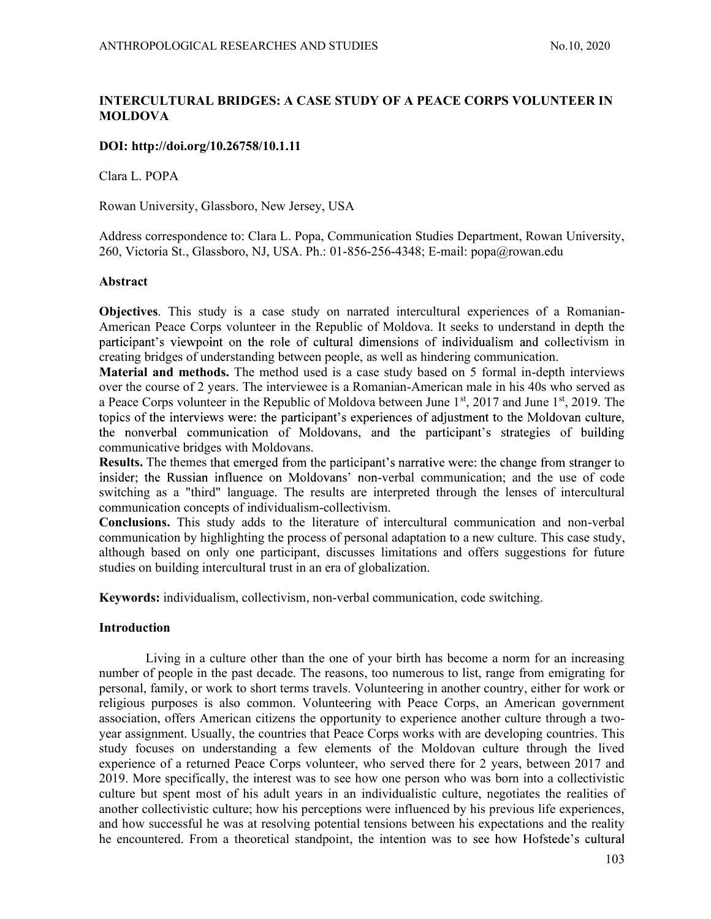# INTERCULTURAL BRIDGES: A CASE STUDY OF A PEACE CORPS VOLUNTEER IN MOLDOVA

# DOI: http://doi.org/10.26758/10.1.11

Clara L. POPA

Rowan University, Glassboro, New Jersey, USA

Address correspondence to: Clara L. Popa, Communication Studies Department, Rowan University, 260, Victoria St., Glassboro, NJ, USA. Ph.: 01-856-256-4348; E-mail: popa@rowan.edu

## Abstract

Objectives. This study is a case study on narrated intercultural experiences of a Romanian-American Peace Corps volunteer in the Republic of Moldova. It seeks to understand in depth the participant's viewpoint on the role of cultural dimensions of individualism and collectivism in creating bridges of understanding between people, as well as hindering communication.

Material and methods. The method used is a case study based on 5 formal in-depth interviews over the course of 2 years. The interviewee is a Romanian-American male in his 40s who served as a Peace Corps volunteer in the Republic of Moldova between June 1st, 2017 and June 1st, 2019. The topics of the interviews were: the participant's experiences of adjustment to the Moldovan culture, the nonverbal communication of Moldovans, and the participant's strategies of building communicative bridges with Moldovans.

**Results.** The themes that emerged from the participant's narrative were: the change from stranger to insider; the Russian influence on Moldovans' non-verbal communication; and the use of code switching as a "third" language. The results are interpreted through the lenses of intercultural communication concepts of individualism-collectivism.

Conclusions. This study adds to the literature of intercultural communication and non-verbal communication by highlighting the process of personal adaptation to a new culture. This case study, although based on only one participant, discusses limitations and offers suggestions for future studies on building intercultural trust in an era of globalization.

Keywords: individualism, collectivism, non-verbal communication, code switching.

### Introduction

Living in a culture other than the one of your birth has become a norm for an increasing number of people in the past decade. The reasons, too numerous to list, range from emigrating for personal, family, or work to short terms travels. Volunteering in another country, either for work or religious purposes is also common. Volunteering with Peace Corps, an American government association, offers American citizens the opportunity to experience another culture through a twoyear assignment. Usually, the countries that Peace Corps works with are developing countries. This study focuses on understanding a few elements of the Moldovan culture through the lived experience of a returned Peace Corps volunteer, who served there for 2 years, between 2017 and 2019. More specifically, the interest was to see how one person who was born into a collectivistic culture but spent most of his adult years in an individualistic culture, negotiates the realities of another collectivistic culture; how his perceptions were influenced by his previous life experiences, and how successful he was at resolving potential tensions between his expectations and the reality he encountered. From a theoretical standpoint, the intention was to see how Hofstede's cultural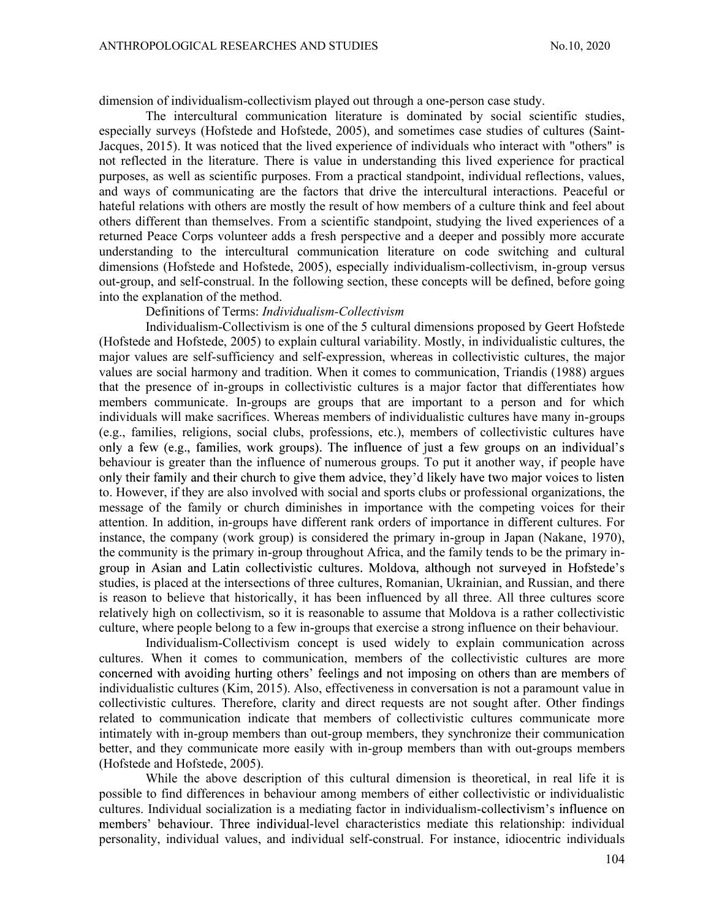dimension of individualism-collectivism played out through a one-person case study.

The intercultural communication literature is dominated by social scientific studies, especially surveys (Hofstede and Hofstede, 2005), and sometimes case studies of cultures (Saint-Jacques, 2015). It was noticed that the lived experience of individuals who interact with "others" is not reflected in the literature. There is value in understanding this lived experience for practical purposes, as well as scientific purposes. From a practical standpoint, individual reflections, values, and ways of communicating are the factors that drive the intercultural interactions. Peaceful or hateful relations with others are mostly the result of how members of a culture think and feel about others different than themselves. From a scientific standpoint, studying the lived experiences of a returned Peace Corps volunteer adds a fresh perspective and a deeper and possibly more accurate understanding to the intercultural communication literature on code switching and cultural dimensions (Hofstede and Hofstede, 2005), especially individualism-collectivism, in-group versus out-group, and self-construal. In the following section, these concepts will be defined, before going into the explanation of the method.

## Definitions of Terms: Individualism-Collectivism

Individualism-Collectivism is one of the 5 cultural dimensions proposed by Geert Hofstede (Hofstede and Hofstede, 2005) to explain cultural variability. Mostly, in individualistic cultures, the major values are self-sufficiency and self-expression, whereas in collectivistic cultures, the major values are social harmony and tradition. When it comes to communication, Triandis (1988) argues that the presence of in-groups in collectivistic cultures is a major factor that differentiates how members communicate. In-groups are groups that are important to a person and for which individuals will make sacrifices. Whereas members of individualistic cultures have many in-groups (e.g., families, religions, social clubs, professions, etc.), members of collectivistic cultures have only a few (e.g., families, work groups). The influence of just a few groups on an individual's behaviour is greater than the influence of numerous groups. To put it another way, if people have only their family and their church to give them advice, they'd likely have two major voices to listen to. However, if they are also involved with social and sports clubs or professional organizations, the message of the family or church diminishes in importance with the competing voices for their attention. In addition, in-groups have different rank orders of importance in different cultures. For instance, the company (work group) is considered the primary in-group in Japan (Nakane, 1970), the community is the primary in-group throughout Africa, and the family tends to be the primary ingroup in Asian and Latin collectivistic cultures. Moldova, although not surveyed in Hofstede's studies, is placed at the intersections of three cultures, Romanian, Ukrainian, and Russian, and there is reason to believe that historically, it has been influenced by all three. All three cultures score relatively high on collectivism, so it is reasonable to assume that Moldova is a rather collectivistic culture, where people belong to a few in-groups that exercise a strong influence on their behaviour.

Individualism-Collectivism concept is used widely to explain communication across cultures. When it comes to communication, members of the collectivistic cultures are more concerned with avoiding hurting others' feelings and not imposing on others than are members of individualistic cultures (Kim, 2015). Also, effectiveness in conversation is not a paramount value in collectivistic cultures. Therefore, clarity and direct requests are not sought after. Other findings related to communication indicate that members of collectivistic cultures communicate more intimately with in-group members than out-group members, they synchronize their communication better, and they communicate more easily with in-group members than with out-groups members (Hofstede and Hofstede, 2005).

While the above description of this cultural dimension is theoretical, in real life it is possible to find differences in behaviour among members of either collectivistic or individualistic cultures. Individual socialization is a mediating factor in individualism members' behaviour. Three individual-level characteristics mediate this relationship: individual personality, individual values, and individual self-construal. For instance, idiocentric individuals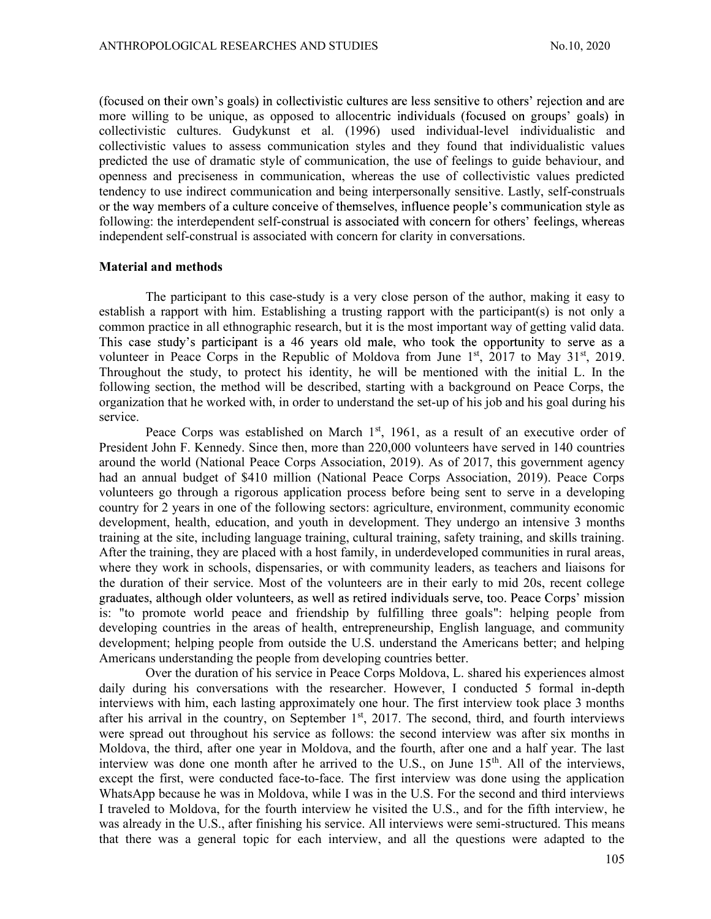(focused on their own's goals) in collectivistic cultures are less sensitive to others' rejection and are more willing to be unique, as opposed to allocentric individuals (focused on groups' goals) in collectivistic cultures. Gudykunst et al. (1996) used individual-level individualistic and collectivistic values to assess communication styles and they found that individualistic values predicted the use of dramatic style of communication, the use of feelings to guide behaviour, and openness and preciseness in communication, whereas the use of collectivistic values predicted tendency to use indirect communication and being interpersonally sensitive. Lastly, self-construals or the way members of a culture conceive of themselves, influence people's communication style as following: the interdependent self-construal is associated with concern for others' feelings, whereas independent self-construal is associated with concern for clarity in conversations.

#### Material and methods

The participant to this case-study is a very close person of the author, making it easy to establish a rapport with him. Establishing a trusting rapport with the participant(s) is not only a common practice in all ethnographic research, but it is the most important way of getting valid data. This case study's participant is a 46 years old male, who took the opportunity to serve as a volunteer in Peace Corps in the Republic of Moldova from June  $1<sup>st</sup>$ , 2017 to May 31 $<sup>st</sup>$ , 2019.</sup> Throughout the study, to protect his identity, he will be mentioned with the initial L. In the following section, the method will be described, starting with a background on Peace Corps, the organization that he worked with, in order to understand the set-up of his job and his goal during his service.

Peace Corps was established on March  $1<sup>st</sup>$ , 1961, as a result of an executive order of President John F. Kennedy. Since then, more than 220,000 volunteers have served in 140 countries around the world (National Peace Corps Association, 2019). As of 2017, this government agency had an annual budget of \$410 million (National Peace Corps Association, 2019). Peace Corps volunteers go through a rigorous application process before being sent to serve in a developing country for 2 years in one of the following sectors: agriculture, environment, community economic development, health, education, and youth in development. They undergo an intensive 3 months training at the site, including language training, cultural training, safety training, and skills training. After the training, they are placed with a host family, in underdeveloped communities in rural areas, where they work in schools, dispensaries, or with community leaders, as teachers and liaisons for the duration of their service. Most of the volunteers are in their early to mid 20s, recent college graduates, although older volunteers, as well as retired individuals serve, too. Peace Corps' mission is: "to promote world peace and friendship by fulfilling three goals": helping people from developing countries in the areas of health, entrepreneurship, English language, and community development; helping people from outside the U.S. understand the Americans better; and helping Americans understanding the people from developing countries better.

Over the duration of his service in Peace Corps Moldova, L. shared his experiences almost daily during his conversations with the researcher. However, I conducted 5 formal in-depth interviews with him, each lasting approximately one hour. The first interview took place 3 months after his arrival in the country, on September  $1<sup>st</sup>$ , 2017. The second, third, and fourth interviews were spread out throughout his service as follows: the second interview was after six months in Moldova, the third, after one year in Moldova, and the fourth, after one and a half year. The last interview was done one month after he arrived to the U.S., on June  $15<sup>th</sup>$ . All of the interviews, except the first, were conducted face-to-face. The first interview was done using the application WhatsApp because he was in Moldova, while I was in the U.S. For the second and third interviews I traveled to Moldova, for the fourth interview he visited the U.S., and for the fifth interview, he was already in the U.S., after finishing his service. All interviews were semi-structured. This means that there was a general topic for each interview, and all the questions were adapted to the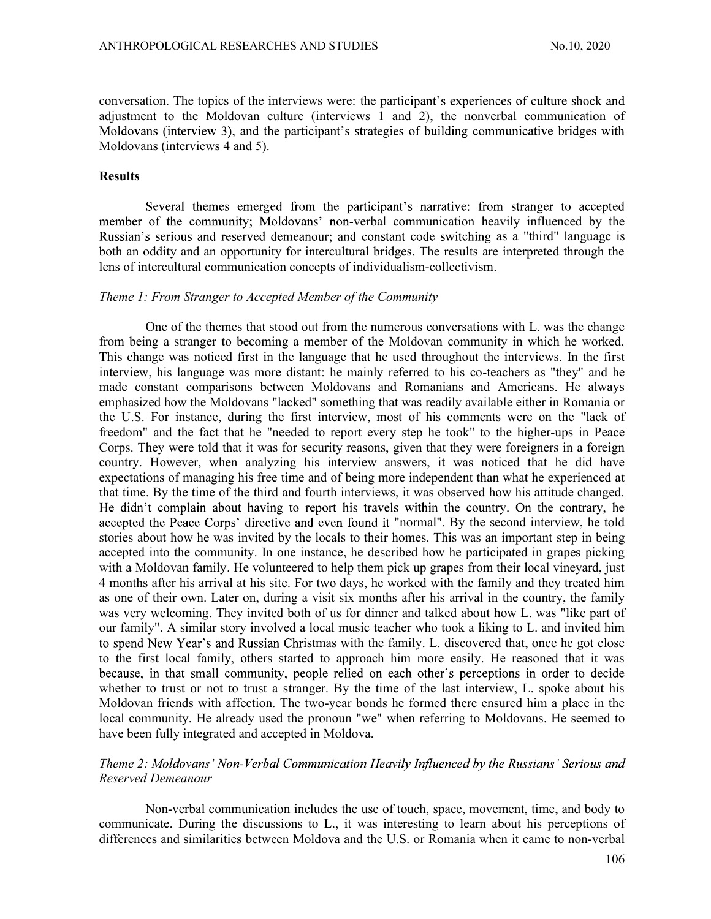conversation. The topics of the interviews were: the participant's experiences of culture shock and adjustment to the Moldovan culture (interviews  $\overline{1}$  and 2), the nonverbal communication of Moldovans (interview 3), and the participant's strategies of building communicative bridges with Moldovans (interviews 4 and 5).

#### Results

Several themes emerged from the participant's narrative: from stranger to accepted member of the community; Moldovans' non-verbal communication heavily influenced by the Russian's serious and reserved demeanour; and constant code switching as a "third" language is both an oddity and an opportunity for intercultural bridges. The results are interpreted through the lens of intercultural communication concepts of individualism-collectivism.

#### Theme 1: From Stranger to Accepted Member of the Community

One of the themes that stood out from the numerous conversations with L. was the change from being a stranger to becoming a member of the Moldovan community in which he worked. This change was noticed first in the language that he used throughout the interviews. In the first interview, his language was more distant: he mainly referred to his co-teachers as "they" and he made constant comparisons between Moldovans and Romanians and Americans. He always emphasized how the Moldovans "lacked" something that was readily available either in Romania or the U.S. For instance, during the first interview, most of his comments were on the "lack of freedom" and the fact that he "needed to report every step he took" to the higher-ups in Peace Corps. They were told that it was for security reasons, given that they were foreigners in a foreign country. However, when analyzing his interview answers, it was noticed that he did have expectations of managing his free time and of being more independent than what he experienced at that time. By the time of the third and fourth interviews, it was observed how his attitude changed. He didn't complain about having to report his travels within the country. On the contrary, he accepted the Peace Corps' directive and even found it "normal". By the second interview, he told stories about how he was invited by the locals to their homes. This was an important step in being accepted into the community. In one instance, he described how he participated in grapes picking with a Moldovan family. He volunteered to help them pick up grapes from their local vineyard, just 4 months after his arrival at his site. For two days, he worked with the family and they treated him as one of their own. Later on, during a visit six months after his arrival in the country, the family was very welcoming. They invited both of us for dinner and talked about how L. was "like part of our family". A similar story involved a local music teacher who took a liking to L. and invited him to spend New Year's and Russian Christmas with the family. L. discovered that, once he got close to the first local family, others started to approach him more easily. He reasoned that it was because, in that small community, people relied on each other's perceptions in order to decide whether to trust or not to trust a stranger. By the time of the last interview, L. spoke about his Moldovan friends with affection. The two-year bonds he formed there ensured him a place in the local community. He already used the pronoun "we" when referring to Moldovans. He seemed to have been fully integrated and accepted in Moldova.

## Theme 2: Moldovans' Non-Verbal Communication Heavily Influenced by the Russians' Serious and Reserved Demeanour

Non-verbal communication includes the use of touch, space, movement, time, and body to communicate. During the discussions to L., it was interesting to learn about his perceptions of differences and similarities between Moldova and the U.S. or Romania when it came to non-verbal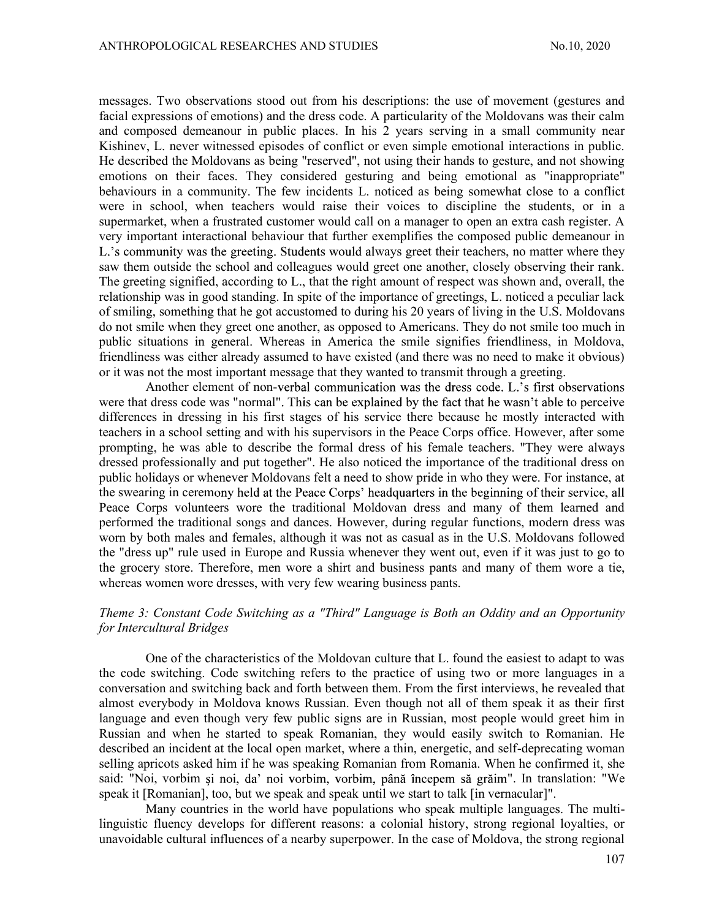messages. Two observations stood out from his descriptions: the use of movement (gestures and facial expressions of emotions) and the dress code. A particularity of the Moldovans was their calm and composed demeanour in public places. In his 2 years serving in a small community near Kishinev, L. never witnessed episodes of conflict or even simple emotional interactions in public. He described the Moldovans as being "reserved", not using their hands to gesture, and not showing emotions on their faces. They considered gesturing and being emotional as "inappropriate" behaviours in a community. The few incidents L. noticed as being somewhat close to a conflict were in school, when teachers would raise their voices to discipline the students, or in a supermarket, when a frustrated customer would call on a manager to open an extra cash register. A very important interactional behaviour that further exemplifies the composed public demeanour in L.'s community was the greeting. Students would always greet their teachers, no matter where they saw them outside the school and colleagues would greet one another, closely observing their rank. The greeting signified, according to L., that the right amount of respect was shown and, overall, the relationship was in good standing. In spite of the importance of greetings, L. noticed a peculiar lack of smiling, something that he got accustomed to during his 20 years of living in the U.S. Moldovans do not smile when they greet one another, as opposed to Americans. They do not smile too much in public situations in general. Whereas in America the smile signifies friendliness, in Moldova, friendliness was either already assumed to have existed (and there was no need to make it obvious) or it was not the most important message that they wanted to transmit through a greeting.

Another element of non-verbal communication was the dress code. L.'s first observations were that dress code was "normal". This can be explained by the fact that he wasn't able to perceive differences in dressing in his first stages of his service there because he mostly interacted with teachers in a school setting and with his supervisors in the Peace Corps office. However, after some prompting, he was able to describe the formal dress of his female teachers. "They were always dressed professionally and put together". He also noticed the importance of the traditional dress on public holidays or whenever Moldovans felt a need to show pride in who they were. For instance, at the swearing in ceremony held at the Peace Corps' headquarters in the beginning of their service, all Peace Corps volunteers wore the traditional Moldovan dress and many of them learned and performed the traditional songs and dances. However, during regular functions, modern dress was worn by both males and females, although it was not as casual as in the U.S. Moldovans followed the "dress up" rule used in Europe and Russia whenever they went out, even if it was just to go to the grocery store. Therefore, men wore a shirt and business pants and many of them wore a tie, whereas women wore dresses, with very few wearing business pants.

# Theme 3: Constant Code Switching as a "Third" Language is Both an Oddity and an Opportunity for Intercultural Bridges

One of the characteristics of the Moldovan culture that L. found the easiest to adapt to was the code switching. Code switching refers to the practice of using two or more languages in a conversation and switching back and forth between them. From the first interviews, he revealed that almost everybody in Moldova knows Russian. Even though not all of them speak it as their first language and even though very few public signs are in Russian, most people would greet him in Russian and when he started to speak Romanian, they would easily switch to Romanian. He described an incident at the local open market, where a thin, energetic, and self-deprecating woman selling apricots asked him if he was speaking Romanian from Romania. When he confirmed it, she said: "Noi, vorbim și noi, da' noi vorbim, vorbim, până începem să grăim". In translation: "We speak it [Romanian], too, but we speak and speak until we start to talk [in vernacular]".

Many countries in the world have populations who speak multiple languages. The multilinguistic fluency develops for different reasons: a colonial history, strong regional loyalties, or unavoidable cultural influences of a nearby superpower. In the case of Moldova, the strong regional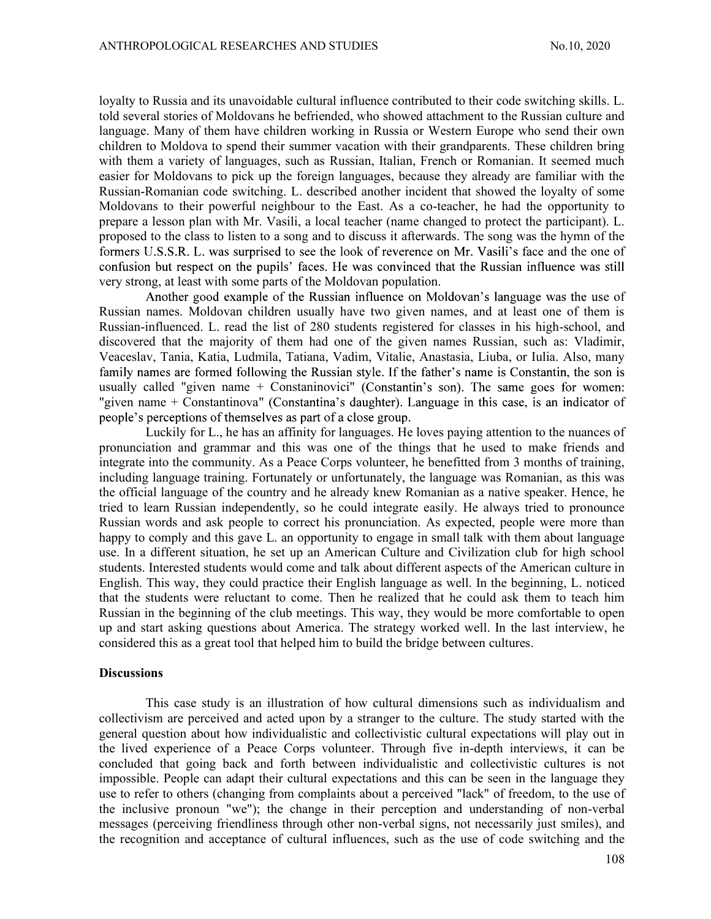loyalty to Russia and its unavoidable cultural influence contributed to their code switching skills. L. told several stories of Moldovans he befriended, who showed attachment to the Russian culture and language. Many of them have children working in Russia or Western Europe who send their own children to Moldova to spend their summer vacation with their grandparents. These children bring with them a variety of languages, such as Russian, Italian, French or Romanian. It seemed much easier for Moldovans to pick up the foreign languages, because they already are familiar with the Russian-Romanian code switching. L. described another incident that showed the loyalty of some Moldovans to their powerful neighbour to the East. As a co-teacher, he had the opportunity to prepare a lesson plan with Mr. Vasili, a local teacher (name changed to protect the participant). L. proposed to the class to listen to a song and to discuss it afterwards. The song was the hymn of the formers U.S.S.R. L. was surprised to see the look of reverence on Mr. Vasili's face and the one of confusion but respect on the pupils' faces. He was convinced that the Russian influence was still very strong, at least with some parts of the Moldovan population.

Another good example of the Russian influence on Moldovan's language was the use of Russian names. Moldovan children usually have two given names, and at least one of them is Russian-influenced. L. read the list of 280 students registered for classes in his high-school, and discovered that the majority of them had one of the given names Russian, such as: Vladimir, Veaceslav, Tania, Katia, Ludmila, Tatiana, Vadim, Vitalie, Anastasia, Liuba, or Iulia. Also, many family names are formed following the Russian style. If the father's name is Constantin, the son is usually called "given name + Constaninovici" (Constantin's son). The same goes for women: "given name + Constantinova" (Constantina's daughter). Language in this case, is an indicator of people's perceptions of themselves as part of a close group.

Luckily for L., he has an affinity for languages. He loves paying attention to the nuances of pronunciation and grammar and this was one of the things that he used to make friends and integrate into the community. As a Peace Corps volunteer, he benefitted from 3 months of training, including language training. Fortunately or unfortunately, the language was Romanian, as this was the official language of the country and he already knew Romanian as a native speaker. Hence, he tried to learn Russian independently, so he could integrate easily. He always tried to pronounce Russian words and ask people to correct his pronunciation. As expected, people were more than happy to comply and this gave L. an opportunity to engage in small talk with them about language use. In a different situation, he set up an American Culture and Civilization club for high school students. Interested students would come and talk about different aspects of the American culture in English. This way, they could practice their English language as well. In the beginning, L. noticed that the students were reluctant to come. Then he realized that he could ask them to teach him Russian in the beginning of the club meetings. This way, they would be more comfortable to open up and start asking questions about America. The strategy worked well. In the last interview, he considered this as a great tool that helped him to build the bridge between cultures.

### **Discussions**

 This case study is an illustration of how cultural dimensions such as individualism and collectivism are perceived and acted upon by a stranger to the culture. The study started with the general question about how individualistic and collectivistic cultural expectations will play out in the lived experience of a Peace Corps volunteer. Through five in-depth interviews, it can be concluded that going back and forth between individualistic and collectivistic cultures is not impossible. People can adapt their cultural expectations and this can be seen in the language they use to refer to others (changing from complaints about a perceived "lack" of freedom, to the use of the inclusive pronoun "we"); the change in their perception and understanding of non-verbal messages (perceiving friendliness through other non-verbal signs, not necessarily just smiles), and the recognition and acceptance of cultural influences, such as the use of code switching and the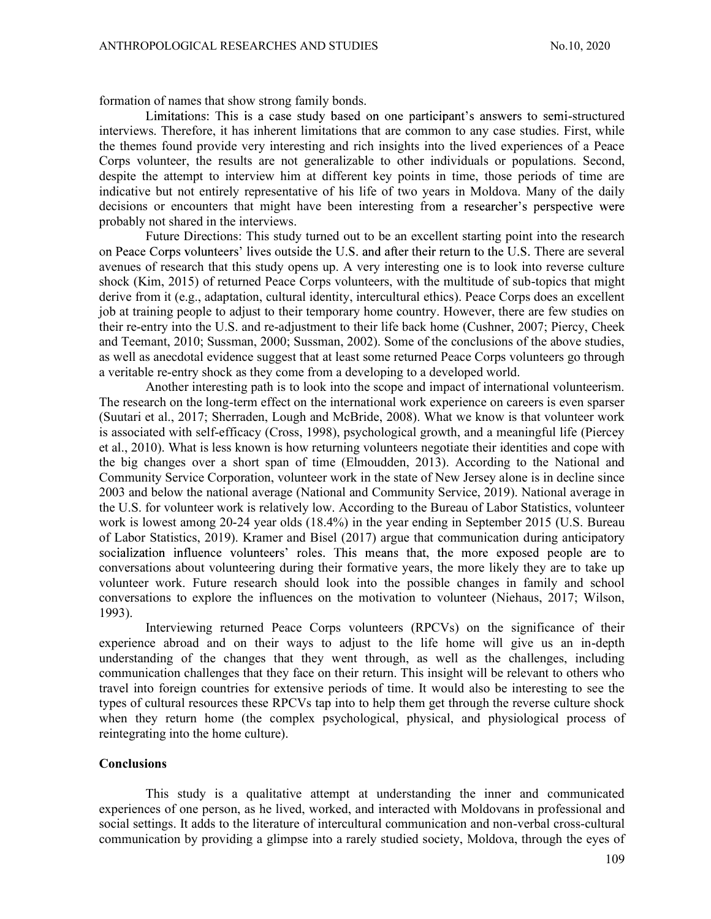formation of names that show strong family bonds.

Limitations: This is a case study based on one participant's answers to semi-structured interviews. Therefore, it has inherent limitations that are common to any case studies. First, while the themes found provide very interesting and rich insights into the lived experiences of a Peace Corps volunteer, the results are not generalizable to other individuals or populations. Second, despite the attempt to interview him at different key points in time, those periods of time are indicative but not entirely representative of his life of two years in Moldova. Many of the daily decisions or encounters that might have been interesting from a researcher's perspective were probably not shared in the interviews.

Future Directions: This study turned out to be an excellent starting point into the research on Peace Corps volunteers' lives outside the U.S. and after their return to the U.S. There are several avenues of research that this study opens up. A very interesting one is to look into reverse culture shock (Kim, 2015) of returned Peace Corps volunteers, with the multitude of sub-topics that might derive from it (e.g., adaptation, cultural identity, intercultural ethics). Peace Corps does an excellent job at training people to adjust to their temporary home country. However, there are few studies on their re-entry into the U.S. and re-adjustment to their life back home (Cushner, 2007; Piercy, Cheek and Teemant, 2010; Sussman, 2000; Sussman, 2002). Some of the conclusions of the above studies, as well as anecdotal evidence suggest that at least some returned Peace Corps volunteers go through a veritable re-entry shock as they come from a developing to a developed world.

Another interesting path is to look into the scope and impact of international volunteerism. The research on the long-term effect on the international work experience on careers is even sparser (Suutari et al., 2017; Sherraden, Lough and McBride, 2008). What we know is that volunteer work is associated with self-efficacy (Cross, 1998), psychological growth, and a meaningful life (Piercey et al., 2010). What is less known is how returning volunteers negotiate their identities and cope with the big changes over a short span of time (Elmoudden, 2013). According to the National and Community Service Corporation, volunteer work in the state of New Jersey alone is in decline since 2003 and below the national average (National and Community Service, 2019). National average in the U.S. for volunteer work is relatively low. According to the Bureau of Labor Statistics, volunteer work is lowest among 20-24 year olds (18.4%) in the year ending in September 2015 (U.S. Bureau of Labor Statistics, 2019). Kramer and Bisel (2017) argue that communication during anticipatory socialization influence volunteers' roles. This means that, the more exposed people are to conversations about volunteering during their formative years, the more likely they are to take up volunteer work. Future research should look into the possible changes in family and school conversations to explore the influences on the motivation to volunteer (Niehaus, 2017; Wilson, 1993).

Interviewing returned Peace Corps volunteers (RPCVs) on the significance of their experience abroad and on their ways to adjust to the life home will give us an in-depth understanding of the changes that they went through, as well as the challenges, including communication challenges that they face on their return. This insight will be relevant to others who travel into foreign countries for extensive periods of time. It would also be interesting to see the types of cultural resources these RPCVs tap into to help them get through the reverse culture shock when they return home (the complex psychological, physical, and physiological process of reintegrating into the home culture).

### **Conclusions**

This study is a qualitative attempt at understanding the inner and communicated experiences of one person, as he lived, worked, and interacted with Moldovans in professional and social settings. It adds to the literature of intercultural communication and non-verbal cross-cultural communication by providing a glimpse into a rarely studied society, Moldova, through the eyes of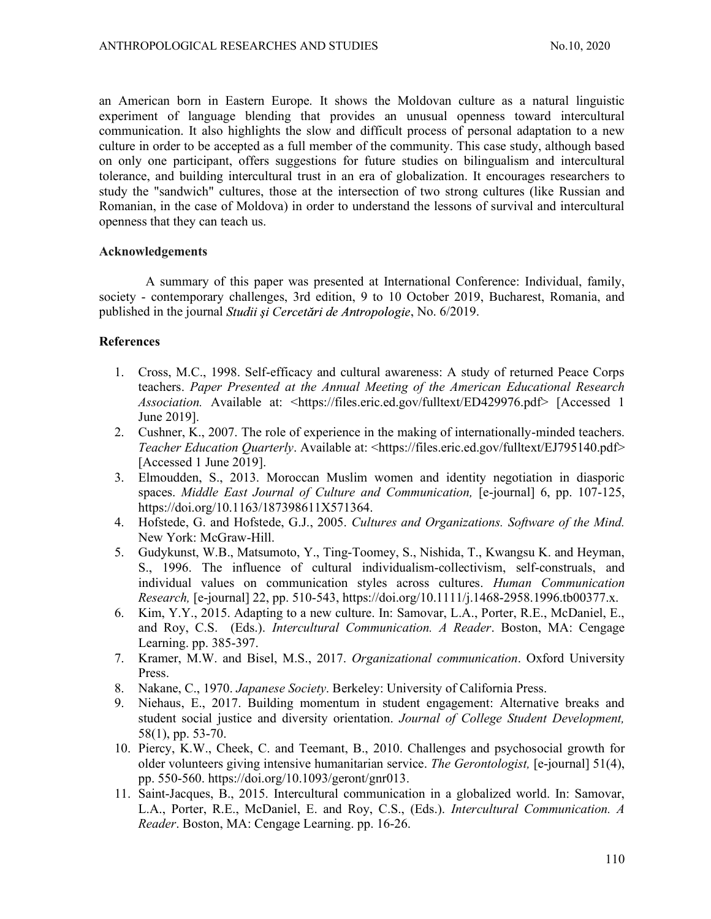an American born in Eastern Europe. It shows the Moldovan culture as a natural linguistic experiment of language blending that provides an unusual openness toward intercultural communication. It also highlights the slow and difficult process of personal adaptation to a new culture in order to be accepted as a full member of the community. This case study, although based on only one participant, offers suggestions for future studies on bilingualism and intercultural tolerance, and building intercultural trust in an era of globalization. It encourages researchers to study the "sandwich" cultures, those at the intersection of two strong cultures (like Russian and Romanian, in the case of Moldova) in order to understand the lessons of survival and intercultural openness that they can teach us.

## Acknowledgements

A summary of this paper was presented at International Conference: Individual, family, society - contemporary challenges, 3rd edition, 9 to 10 October 2019, Bucharest, Romania, and published in the journal *Studii și Cercetări de Antropologie*, No. 6/2019.

## **References**

- 1. Cross, M.C., 1998. Self-efficacy and cultural awareness: A study of returned Peace Corps teachers. Paper Presented at the Annual Meeting of the American Educational Research Association. Available at: <https://files.eric.ed.gov/fulltext/ED429976.pdf> [Accessed 1 June 2019].
- 2. Cushner, K., 2007. The role of experience in the making of internationally-minded teachers. Teacher Education Quarterly. Available at: <https://files.eric.ed.gov/fulltext/EJ795140.pdf> [Accessed 1 June 2019].
- 3. Elmoudden, S., 2013. Moroccan Muslim women and identity negotiation in diasporic spaces. Middle East Journal of Culture and Communication, [e-journal] 6, pp. 107-125, https://doi.org/10.1163/187398611X571364.
- 4. Hofstede, G. and Hofstede, G.J., 2005. Cultures and Organizations. Software of the Mind. New York: McGraw-Hill.
- 5. Gudykunst, W.B., Matsumoto, Y., Ting-Toomey, S., Nishida, T., Kwangsu K. and Heyman, S., 1996. The influence of cultural individualism-collectivism, self-construals, and individual values on communication styles across cultures. Human Communication Research, [e-journal] 22, pp. 510-543, https://doi.org/10.1111/j.1468-2958.1996.tb00377.x.
- 6. Kim, Y.Y., 2015. Adapting to a new culture. In: Samovar, L.A., Porter, R.E., McDaniel, E., and Roy, C.S. (Eds.). Intercultural Communication. A Reader. Boston, MA: Cengage Learning. pp. 385-397.
- 7. Kramer, M.W. and Bisel, M.S., 2017. Organizational communication. Oxford University Press.
- 8. Nakane, C., 1970. Japanese Society. Berkeley: University of California Press.
- 9. Niehaus, E., 2017. Building momentum in student engagement: Alternative breaks and student social justice and diversity orientation. Journal of College Student Development, 58(1), pp. 53-70.
- 10. Piercy, K.W., Cheek, C. and Teemant, B., 2010. Challenges and psychosocial growth for older volunteers giving intensive humanitarian service. The Gerontologist, [e-journal] 51(4), pp. 550-560. https://doi.org/10.1093/geront/gnr013.
- 11. Saint-Jacques, B., 2015. Intercultural communication in a globalized world. In: Samovar, L.A., Porter, R.E., McDaniel, E. and Roy, C.S., (Eds.). Intercultural Communication. A Reader. Boston, MA: Cengage Learning. pp. 16-26.